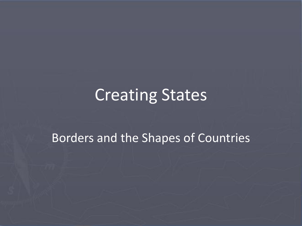## Creating States

#### Borders and the Shapes of Countries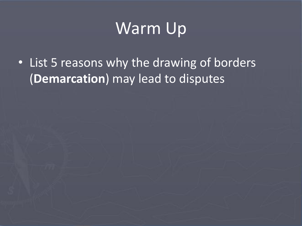# Warm Up

• List 5 reasons why the drawing of borders (**Demarcation**) may lead to disputes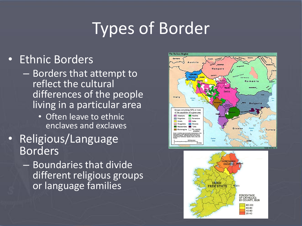# Types of Border

#### • Ethnic Borders

- Borders that attempt to reflect the cultural differences of the people living in a particular area
	- Often leave to ethnic enclaves and exclaves
- Religious/Language Borders
	- Boundaries that divide different religious groups or language families



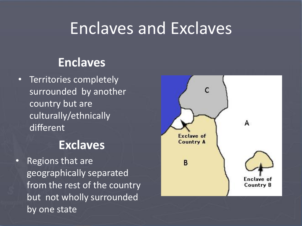### Enclaves and Exclaves

#### **Enclaves**

• Territories completely surrounded by another country but are culturally/ethnically different

#### **Exclaves**

• Regions that are geographically separated from the rest of the country but not wholly surrounded by one state

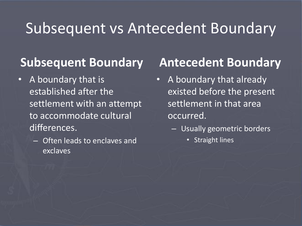#### Subsequent vs Antecedent Boundary

#### **Subsequent Boundary**

- A boundary that is established after the settlement with an attempt to accommodate cultural differences.
	- Often leads to enclaves and exclaves

#### **Antecedent Boundary**

- A boundary that already existed before the present settlement in that area occurred.
	- Usually geometric borders
		- Straight lines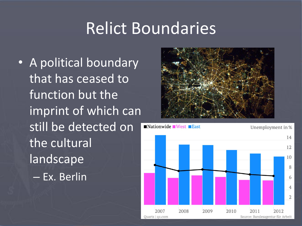## Relict Boundaries

• A political boundary that has ceased to function but the imprint of which can still be detected on the cultural landscape – Ex. Berlin



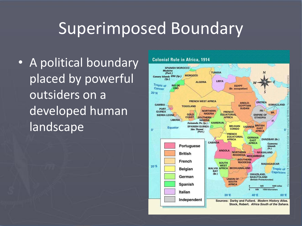## Superimposed Boundary

• A political boundary placed by powerful outsiders on a developed human landscape

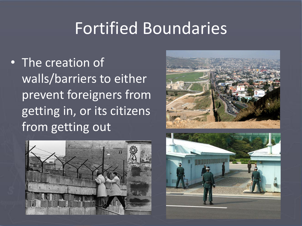## Fortified Boundaries

• The creation of walls/barriers to either prevent foreigners from getting in, or its citizens from getting out





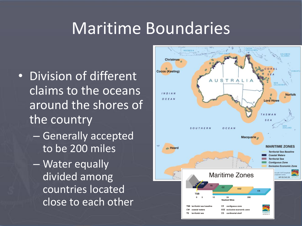## Maritime Boundaries

- Division of different claims to the oceans around the shores of the country
	- Generally accepted to be 200 miles
	- Water equally divided among countries located close to each other

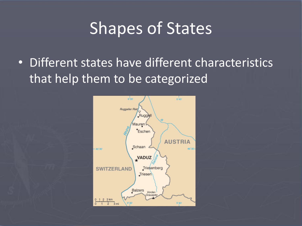## Shapes of States

• Different states have different characteristics that help them to be categorized

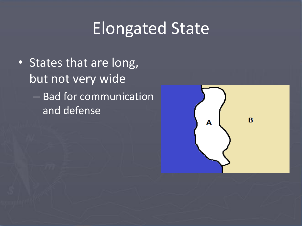# Elongated State

• States that are long, but not very wide – Bad for communication and defense

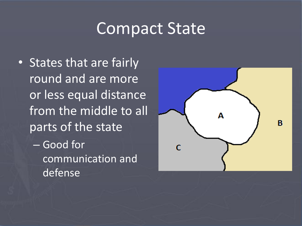### Compact State

• States that are fairly round and are more or less equal distance from the middle to all parts of the state – Good for communication and

defense

Α B C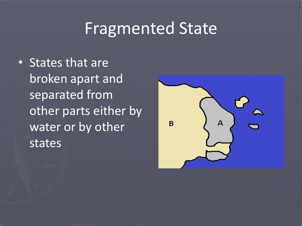## Fragmented State

• States that are broken apart and separated from other parts either by water or by other states

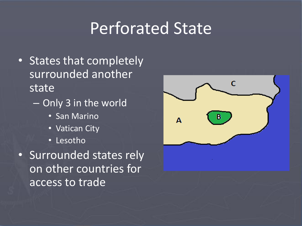## Perforated State

- States that completely surrounded another state
	- Only 3 in the world
		- San Marino
		- Vatican City
		- Lesotho
- Surrounded states rely on other countries for access to trade

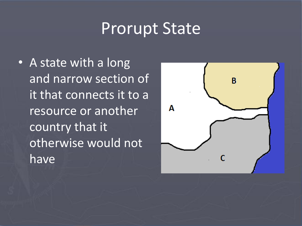## Prorupt State

• A state with a long and narrow section of it that connects it to a resource or another country that it otherwise would not have

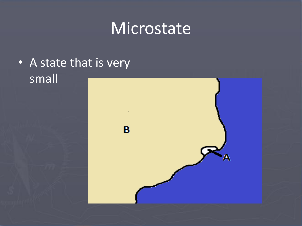## Microstate

#### • A state that is very small